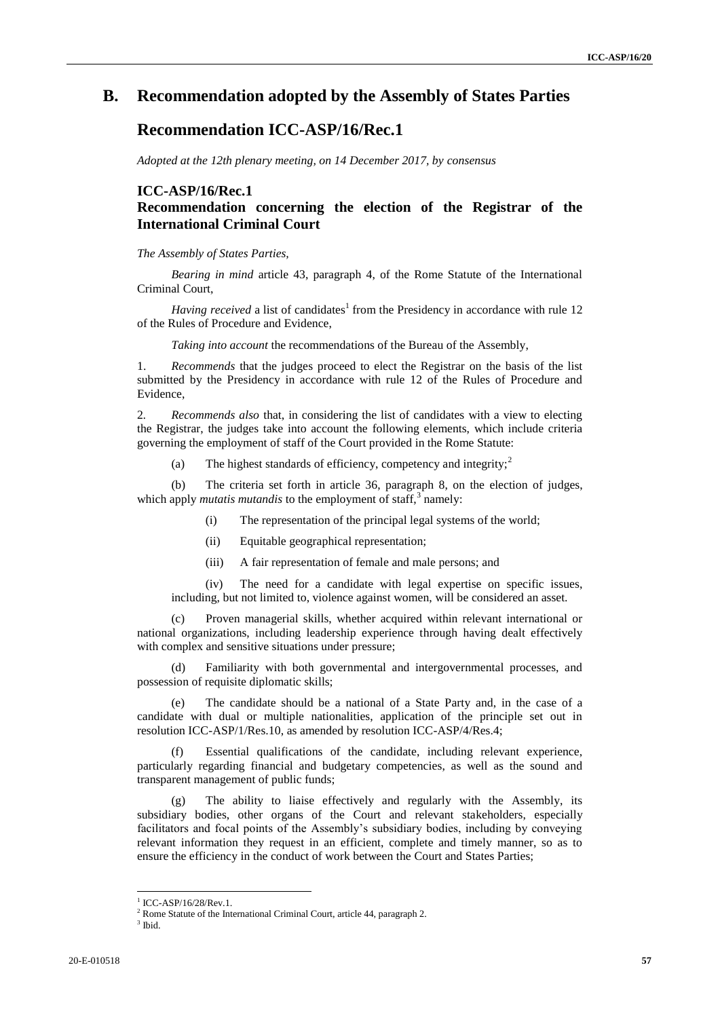# **B. Recommendation adopted by the Assembly of States Parties**

# **Recommendation ICC-ASP/16/Rec.1**

*Adopted at the 12th plenary meeting, on 14 December 2017, by consensus*

## **ICC-ASP/16/Rec.1**

## **Recommendation concerning the election of the Registrar of the International Criminal Court**

*The Assembly of States Parties,* 

*Bearing in mind* article 43, paragraph 4, of the Rome Statute of the International Criminal Court,

Having *received* a list of candidates<sup>1</sup> from the Presidency in accordance with rule 12 of the Rules of Procedure and Evidence,

*Taking into account* the recommendations of the Bureau of the Assembly,

1. *Recommends* that the judges proceed to elect the Registrar on the basis of the list submitted by the Presidency in accordance with rule 12 of the Rules of Procedure and Evidence,

2*. Recommends also* that, in considering the list of candidates with a view to electing the Registrar, the judges take into account the following elements, which include criteria governing the employment of staff of the Court provided in the Rome Statute:

(a) The highest standards of efficiency, competency and integrity;<sup>2</sup>

(b) The criteria set forth in article 36, paragraph 8, on the election of judges, which apply *mutatis mutandis* to the employment of staff,<sup>3</sup> namely:

- (i) The representation of the principal legal systems of the world;
- (ii) Equitable geographical representation;
- (iii) A fair representation of female and male persons; and

(iv) The need for a candidate with legal expertise on specific issues, including, but not limited to, violence against women, will be considered an asset.

(c) Proven managerial skills, whether acquired within relevant international or national organizations, including leadership experience through having dealt effectively with complex and sensitive situations under pressure;

(d) Familiarity with both governmental and intergovernmental processes, and possession of requisite diplomatic skills;

(e) The candidate should be a national of a State Party and, in the case of a candidate with dual or multiple nationalities, application of the principle set out in resolution ICC-ASP/1/Res.10, as amended by resolution ICC-ASP/4/Res.4;

Essential qualifications of the candidate, including relevant experience, particularly regarding financial and budgetary competencies, as well as the sound and transparent management of public funds;

(g) The ability to liaise effectively and regularly with the Assembly, its subsidiary bodies, other organs of the Court and relevant stakeholders, especially facilitators and focal points of the Assembly's subsidiary bodies, including by conveying relevant information they request in an efficient, complete and timely manner, so as to ensure the efficiency in the conduct of work between the Court and States Parties;

 $\overline{a}$ 

<sup>&</sup>lt;sup>1</sup> ICC-ASP/16/28/Rev.1.

<sup>&</sup>lt;sup>2</sup> Rome Statute of the International Criminal Court, article 44, paragraph 2.

<sup>3</sup> Ibid.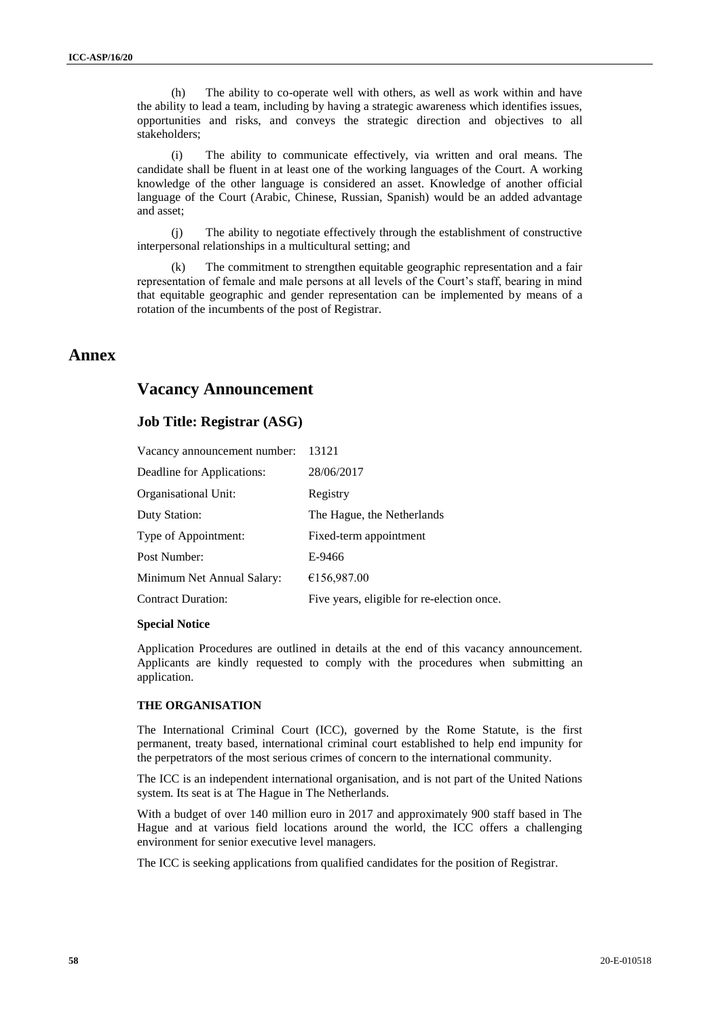(h) The ability to co-operate well with others, as well as work within and have the ability to lead a team, including by having a strategic awareness which identifies issues, opportunities and risks, and conveys the strategic direction and objectives to all stakeholders;

(i) The ability to communicate effectively, via written and oral means. The candidate shall be fluent in at least one of the working languages of the Court. A working knowledge of the other language is considered an asset. Knowledge of another official language of the Court (Arabic, Chinese, Russian, Spanish) would be an added advantage and asset;

(j) The ability to negotiate effectively through the establishment of constructive interpersonal relationships in a multicultural setting; and

The commitment to strengthen equitable geographic representation and a fair representation of female and male persons at all levels of the Court's staff, bearing in mind that equitable geographic and gender representation can be implemented by means of a rotation of the incumbents of the post of Registrar.

## **Annex**

# **Vacancy Announcement**

## **Job Title: Registrar (ASG)**

| Vacancy announcement number: | - 13121                                    |
|------------------------------|--------------------------------------------|
| Deadline for Applications:   | 28/06/2017                                 |
| Organisational Unit:         | Registry                                   |
| Duty Station:                | The Hague, the Netherlands                 |
| Type of Appointment:         | Fixed-term appointment                     |
| Post Number:                 | E-9466                                     |
| Minimum Net Annual Salary:   | €156,987.00                                |
| <b>Contract Duration:</b>    | Five years, eligible for re-election once. |

#### **Special Notice**

Application Procedures are outlined in details at the end of this vacancy announcement. Applicants are kindly requested to comply with the procedures when submitting an application.

## **THE ORGANISATION**

The International Criminal Court (ICC), governed by the Rome Statute, is the first permanent, treaty based, international criminal court established to help end impunity for the perpetrators of the most serious crimes of concern to the international community.

The ICC is an independent international organisation, and is not part of the United Nations system. Its seat is at The Hague in The Netherlands.

With a budget of over 140 million euro in 2017 and approximately 900 staff based in The Hague and at various field locations around the world, the ICC offers a challenging environment for senior executive level managers.

The ICC is seeking applications from qualified candidates for the position of Registrar.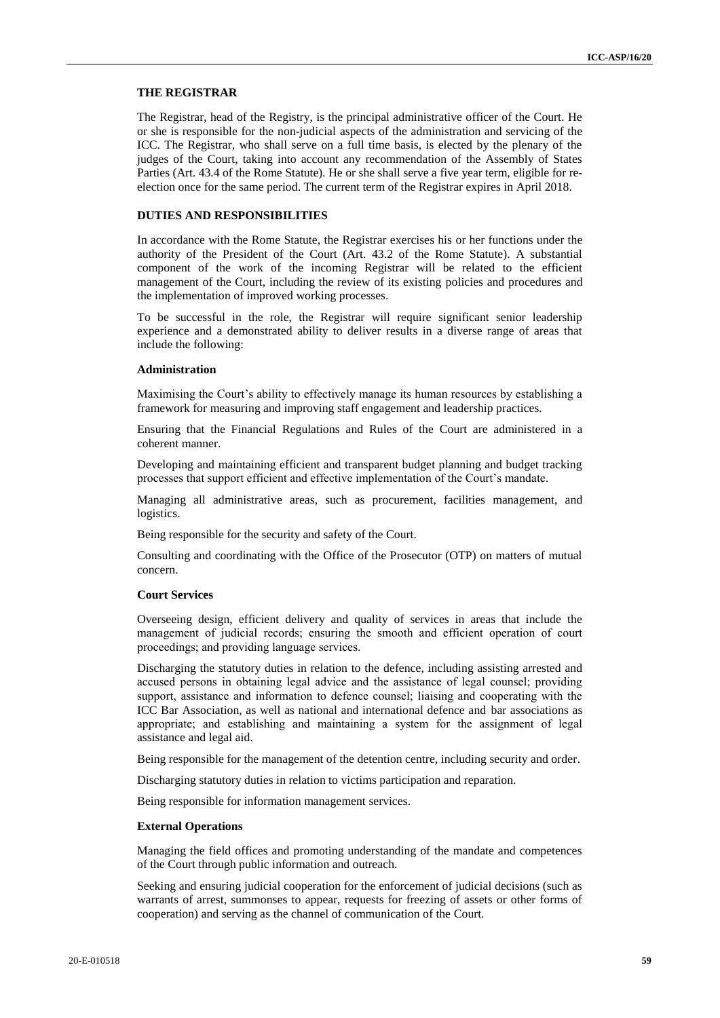### **THE REGISTRAR**

The Registrar, head of the Registry, is the principal administrative officer of the Court. He or she is responsible for the non-judicial aspects of the administration and servicing of the ICC. The Registrar, who shall serve on a full time basis, is elected by the plenary of the judges of the Court, taking into account any recommendation of the Assembly of States Parties (Art. 43.4 of the Rome Statute). He or she shall serve a five year term, eligible for reelection once for the same period. The current term of the Registrar expires in April 2018.

## **DUTIES AND RESPONSIBILITIES**

In accordance with the Rome Statute, the Registrar exercises his or her functions under the authority of the President of the Court (Art. 43.2 of the Rome Statute). A substantial component of the work of the incoming Registrar will be related to the efficient management of the Court, including the review of its existing policies and procedures and the implementation of improved working processes.

To be successful in the role, the Registrar will require significant senior leadership experience and a demonstrated ability to deliver results in a diverse range of areas that include the following:

#### **Administration**

Maximising the Court's ability to effectively manage its human resources by establishing a framework for measuring and improving staff engagement and leadership practices.

Ensuring that the Financial Regulations and Rules of the Court are administered in a coherent manner.

Developing and maintaining efficient and transparent budget planning and budget tracking processes that support efficient and effective implementation of the Court's mandate.

Managing all administrative areas, such as procurement, facilities management, and logistics.

Being responsible for the security and safety of the Court.

Consulting and coordinating with the Office of the Prosecutor (OTP) on matters of mutual concern.

## **Court Services**

Overseeing design, efficient delivery and quality of services in areas that include the management of judicial records; ensuring the smooth and efficient operation of court proceedings; and providing language services.

Discharging the statutory duties in relation to the defence, including assisting arrested and accused persons in obtaining legal advice and the assistance of legal counsel; providing support, assistance and information to defence counsel; liaising and cooperating with the ICC Bar Association, as well as national and international defence and bar associations as appropriate; and establishing and maintaining a system for the assignment of legal assistance and legal aid.

Being responsible for the management of the detention centre, including security and order.

Discharging statutory duties in relation to victims participation and reparation.

Being responsible for information management services.

#### **External Operations**

Managing the field offices and promoting understanding of the mandate and competences of the Court through public information and outreach.

Seeking and ensuring judicial cooperation for the enforcement of judicial decisions (such as warrants of arrest, summonses to appear, requests for freezing of assets or other forms of cooperation) and serving as the channel of communication of the Court.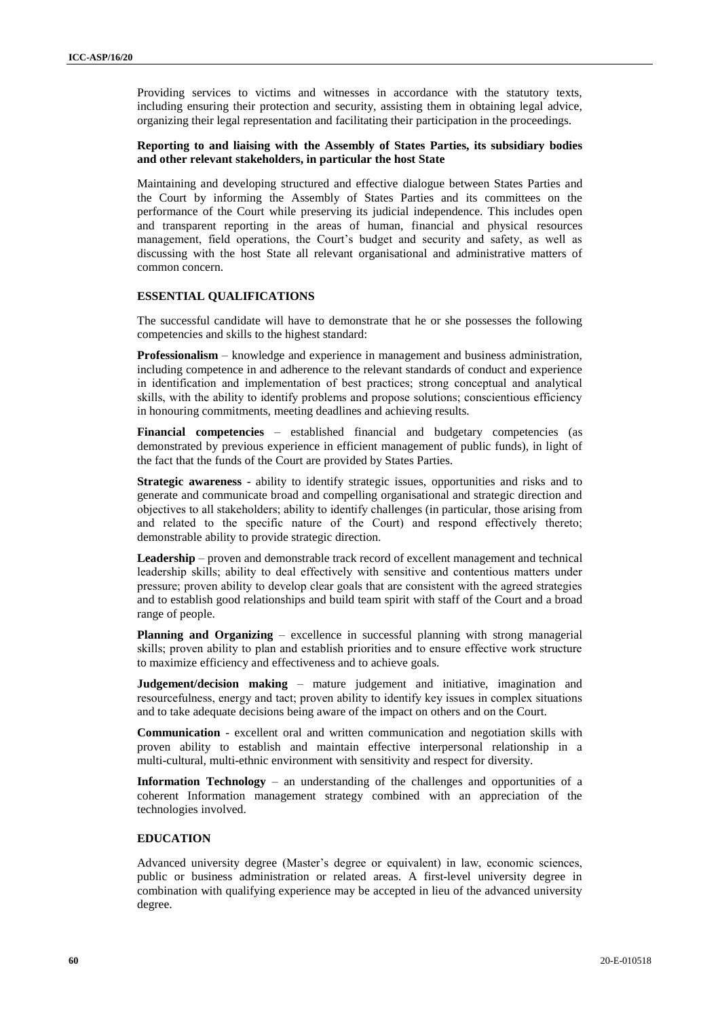Providing services to victims and witnesses in accordance with the statutory texts, including ensuring their protection and security, assisting them in obtaining legal advice, organizing their legal representation and facilitating their participation in the proceedings.

### **Reporting to and liaising with the Assembly of States Parties, its subsidiary bodies and other relevant stakeholders, in particular the host State**

Maintaining and developing structured and effective dialogue between States Parties and the Court by informing the Assembly of States Parties and its committees on the performance of the Court while preserving its judicial independence. This includes open and transparent reporting in the areas of human, financial and physical resources management, field operations, the Court's budget and security and safety, as well as discussing with the host State all relevant organisational and administrative matters of common concern.

## **ESSENTIAL QUALIFICATIONS**

The successful candidate will have to demonstrate that he or she possesses the following competencies and skills to the highest standard:

**Professionalism** – knowledge and experience in management and business administration, including competence in and adherence to the relevant standards of conduct and experience in identification and implementation of best practices; strong conceptual and analytical skills, with the ability to identify problems and propose solutions; conscientious efficiency in honouring commitments, meeting deadlines and achieving results.

**Financial competencies** – established financial and budgetary competencies (as demonstrated by previous experience in efficient management of public funds), in light of the fact that the funds of the Court are provided by States Parties.

**Strategic awareness** - ability to identify strategic issues, opportunities and risks and to generate and communicate broad and compelling organisational and strategic direction and objectives to all stakeholders; ability to identify challenges (in particular, those arising from and related to the specific nature of the Court) and respond effectively thereto; demonstrable ability to provide strategic direction.

**Leadership** – proven and demonstrable track record of excellent management and technical leadership skills; ability to deal effectively with sensitive and contentious matters under pressure; proven ability to develop clear goals that are consistent with the agreed strategies and to establish good relationships and build team spirit with staff of the Court and a broad range of people.

**Planning and Organizing** – excellence in successful planning with strong managerial skills; proven ability to plan and establish priorities and to ensure effective work structure to maximize efficiency and effectiveness and to achieve goals.

**Judgement/decision making** – mature judgement and initiative, imagination and resourcefulness, energy and tact; proven ability to identify key issues in complex situations and to take adequate decisions being aware of the impact on others and on the Court.

**Communication** - excellent oral and written communication and negotiation skills with proven ability to establish and maintain effective interpersonal relationship in a multi-cultural, multi-ethnic environment with sensitivity and respect for diversity.

**Information Technology** – an understanding of the challenges and opportunities of a coherent Information management strategy combined with an appreciation of the technologies involved.

## **EDUCATION**

Advanced university degree (Master's degree or equivalent) in law, economic sciences, public or business administration or related areas. A first-level university degree in combination with qualifying experience may be accepted in lieu of the advanced university degree.